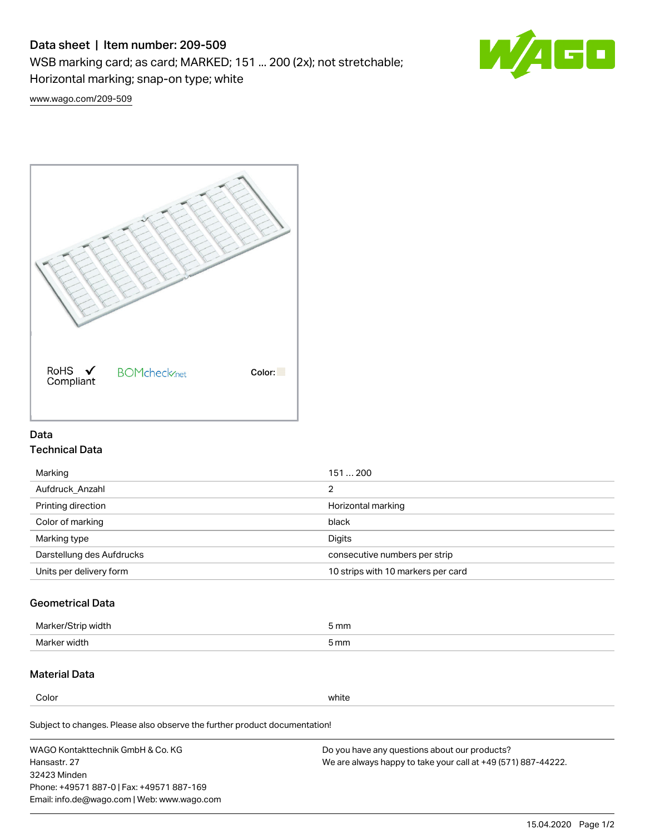# Data sheet | Item number: 209-509

WSB marking card; as card; MARKED; 151 ... 200 (2x); not stretchable;

Horizontal marking; snap-on type; white



[www.wago.com/209-509](http://www.wago.com/209-509)



### Data Technical Data

| 151200                             |
|------------------------------------|
| 2                                  |
| Horizontal marking                 |
| black                              |
| Digits                             |
| consecutive numbers per strip      |
| 10 strips with 10 markers per card |
|                                    |

## Geometrical Data

| Marker.<br>width | 5 mm |
|------------------|------|
| Marker width     | 5 mm |

## Material Data

Color white

Subject to changes. Please also observe the further product documentation!

WAGO Kontakttechnik GmbH & Co. KG Hansastr. 27 32423 Minden Phone: +49571 887-0 | Fax: +49571 887-169 Email: info.de@wago.com | Web: www.wago.com Do you have any questions about our products? We are always happy to take your call at +49 (571) 887-44222.